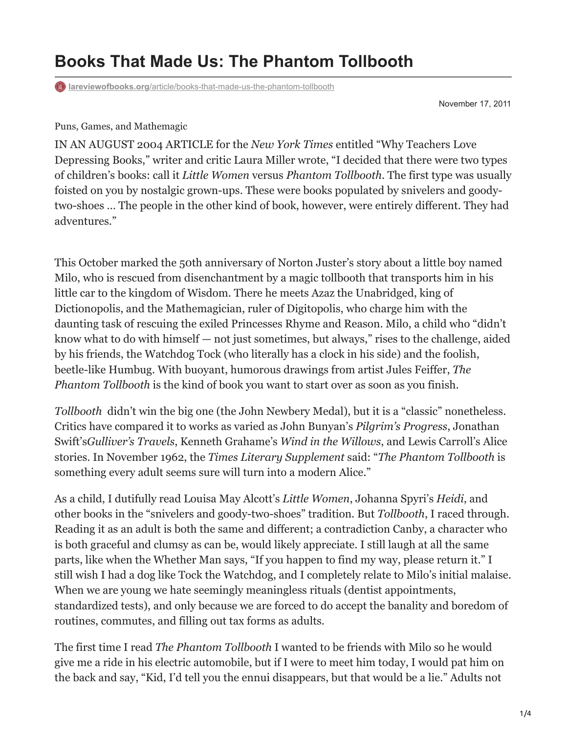## **Books That Made Us: The Phantom Tollbooth**

**lareviewofbooks.org**[/article/books-that-made-us-the-phantom-tollbooth](https://lareviewofbooks.org/article/books-that-made-us-the-phantom-tollbooth/)

November 17, 2011

Puns, Games, and Mathemagic

IN AN AUGUST 2004 ARTICLE for the *New York Times* entitled "Why Teachers Love Depressing Books," writer and critic Laura Miller wrote, "I decided that there were two types of children's books: call it *Little Women* versus *Phantom Tollbooth*. The first type was usually foisted on you by nostalgic grown-ups. These were books populated by snivelers and goodytwo-shoes … The people in the other kind of book, however, were entirely different. They had adventures."

This October marked the 50th anniversary of Norton Juster's story about a little boy named Milo, who is rescued from disenchantment by a magic tollbooth that transports him in his little car to the kingdom of Wisdom. There he meets Azaz the Unabridged, king of Dictionopolis, and the Mathemagician, ruler of Digitopolis, who charge him with the daunting task of rescuing the exiled Princesses Rhyme and Reason. Milo, a child who "didn't know what to do with himself — not just sometimes, but always," rises to the challenge, aided by his friends, the Watchdog Tock (who literally has a clock in his side) and the foolish, beetle-like Humbug. With buoyant, humorous drawings from artist Jules Feiffer, *The Phantom Tollbooth* is the kind of book you want to start over as soon as you finish.

*Tollbooth* didn't win the big one (the John Newbery Medal), but it is a "classic" nonetheless. Critics have compared it to works as varied as John Bunyan's *Pilgrim's Progress*, Jonathan Swift's*Gulliver's Travels*, Kenneth Grahame's *Wind in the Willows*, and Lewis Carroll's Alice stories. In November 1962, the *Times Literary Supplement* said: "*The Phantom Tollbooth* is something every adult seems sure will turn into a modern Alice."

As a child, I dutifully read Louisa May Alcott's *Little Women*, Johanna Spyri's *Heidi*, and other books in the "snivelers and goody-two-shoes" tradition. But *Tollbooth*, I raced through. Reading it as an adult is both the same and different; a contradiction Canby, a character who is both graceful and clumsy as can be, would likely appreciate. I still laugh at all the same parts, like when the Whether Man says, "If you happen to find my way, please return it." I still wish I had a dog like Tock the Watchdog, and I completely relate to Milo's initial malaise. When we are young we hate seemingly meaningless rituals (dentist appointments, standardized tests), and only because we are forced to do accept the banality and boredom of routines, commutes, and filling out tax forms as adults.

The first time I read *The Phantom Tollbooth* I wanted to be friends with Milo so he would give me a ride in his electric automobile, but if I were to meet him today, I would pat him on the back and say, "Kid, I'd tell you the ennui disappears, but that would be a lie." Adults not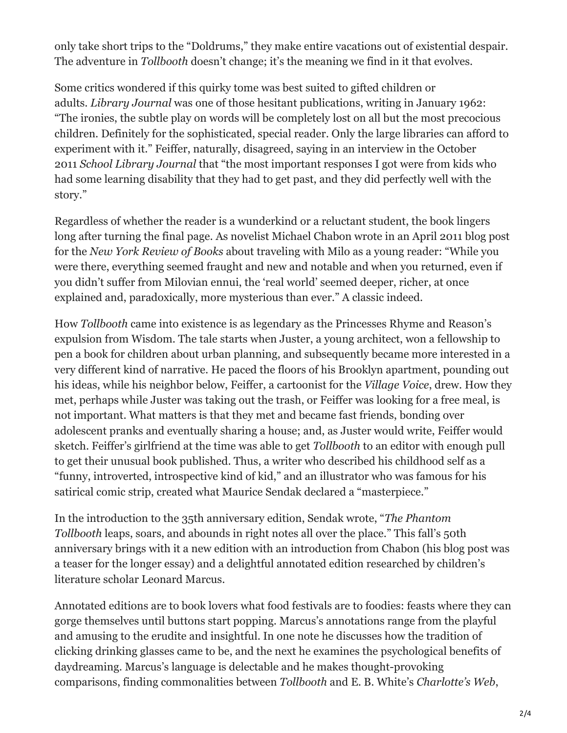only take short trips to the "Doldrums," they make entire vacations out of existential despair. The adventure in *Tollbooth* doesn't change; it's the meaning we find in it that evolves.

Some critics wondered if this quirky tome was best suited to gifted children or adults. *Library Journal* was one of those hesitant publications, writing in January 1962: "The ironies, the subtle play on words will be completely lost on all but the most precocious children. Definitely for the sophisticated, special reader. Only the large libraries can afford to experiment with it." Feiffer, naturally, disagreed, saying in an interview in the October 2011 *School Library Journal* that "the most important responses I got were from kids who had some learning disability that they had to get past, and they did perfectly well with the story."

Regardless of whether the reader is a wunderkind or a reluctant student, the book lingers long after turning the final page. As novelist Michael Chabon wrote in an April 2011 blog post for the *New York Review of Books* about traveling with Milo as a young reader: "While you were there, everything seemed fraught and new and notable and when you returned, even if you didn't suffer from Milovian ennui, the 'real world' seemed deeper, richer, at once explained and, paradoxically, more mysterious than ever." A classic indeed.

How *Tollbooth* came into existence is as legendary as the Princesses Rhyme and Reason's expulsion from Wisdom. The tale starts when Juster, a young architect, won a fellowship to pen a book for children about urban planning, and subsequently became more interested in a very different kind of narrative. He paced the floors of his Brooklyn apartment, pounding out his ideas, while his neighbor below, Feiffer, a cartoonist for the *Village Voice*, drew. How they met, perhaps while Juster was taking out the trash, or Feiffer was looking for a free meal, is not important. What matters is that they met and became fast friends, bonding over adolescent pranks and eventually sharing a house; and, as Juster would write, Feiffer would sketch. Feiffer's girlfriend at the time was able to get *Tollbooth* to an editor with enough pull to get their unusual book published. Thus, a writer who described his childhood self as a "funny, introverted, introspective kind of kid," and an illustrator who was famous for his satirical comic strip, created what Maurice Sendak declared a "masterpiece."

In the introduction to the 35th anniversary edition, Sendak wrote, "*The Phantom Tollbooth* leaps, soars, and abounds in right notes all over the place." This fall's 50th anniversary brings with it a new edition with an introduction from Chabon (his blog post was a teaser for the longer essay) and a delightful annotated edition researched by children's literature scholar Leonard Marcus.

Annotated editions are to book lovers what food festivals are to foodies: feasts where they can gorge themselves until buttons start popping. Marcus's annotations range from the playful and amusing to the erudite and insightful. In one note he discusses how the tradition of clicking drinking glasses came to be, and the next he examines the psychological benefits of daydreaming. Marcus's language is delectable and he makes thought-provoking comparisons, finding commonalities between *Tollbooth* and E. B. White's *Charlotte's Web*,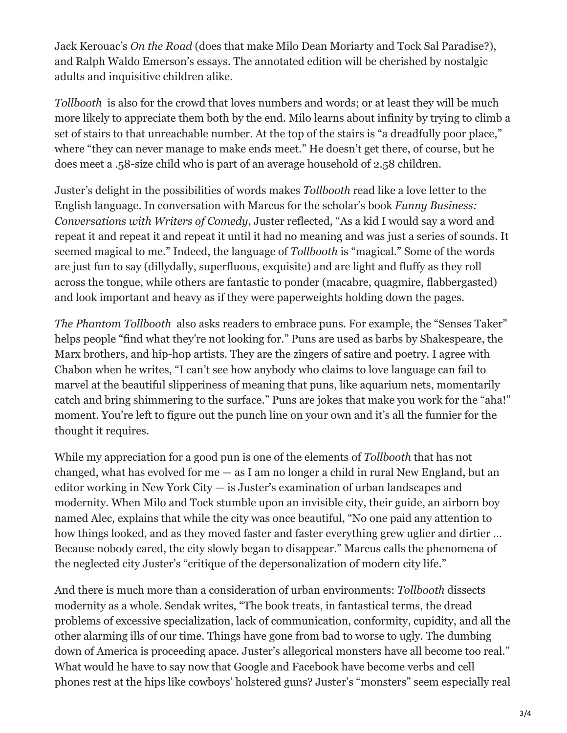Jack Kerouac's *On the Road* (does that make Milo Dean Moriarty and Tock Sal Paradise?), and Ralph Waldo Emerson's essays. The annotated edition will be cherished by nostalgic adults and inquisitive children alike.

*Tollbooth* is also for the crowd that loves numbers and words; or at least they will be much more likely to appreciate them both by the end. Milo learns about infinity by trying to climb a set of stairs to that unreachable number. At the top of the stairs is "a dreadfully poor place," where "they can never manage to make ends meet." He doesn't get there, of course, but he does meet a .58-size child who is part of an average household of 2.58 children.

Juster's delight in the possibilities of words makes *Tollbooth* read like a love letter to the English language. In conversation with Marcus for the scholar's book *Funny Business: Conversations with Writers of Comedy*, Juster reflected, "As a kid I would say a word and repeat it and repeat it and repeat it until it had no meaning and was just a series of sounds. It seemed magical to me." Indeed, the language of *Tollbooth* is "magical." Some of the words are just fun to say (dillydally, superfluous, exquisite) and are light and fluffy as they roll across the tongue, while others are fantastic to ponder (macabre, quagmire, flabbergasted) and look important and heavy as if they were paperweights holding down the pages.

*The Phantom Tollbooth* also asks readers to embrace puns. For example, the "Senses Taker" helps people "find what they're not looking for." Puns are used as barbs by Shakespeare, the Marx brothers, and hip-hop artists. They are the zingers of satire and poetry. I agree with Chabon when he writes, "I can't see how anybody who claims to love language can fail to marvel at the beautiful slipperiness of meaning that puns, like aquarium nets, momentarily catch and bring shimmering to the surface." Puns are jokes that make you work for the "aha!" moment. You're left to figure out the punch line on your own and it's all the funnier for the thought it requires.

While my appreciation for a good pun is one of the elements of *Tollbooth* that has not changed, what has evolved for me  $-$  as I am no longer a child in rural New England, but an editor working in New York City — is Juster's examination of urban landscapes and modernity. When Milo and Tock stumble upon an invisible city, their guide, an airborn boy named Alec, explains that while the city was once beautiful, "No one paid any attention to how things looked, and as they moved faster and faster everything grew uglier and dirtier … Because nobody cared, the city slowly began to disappear." Marcus calls the phenomena of the neglected city Juster's "critique of the depersonalization of modern city life."

And there is much more than a consideration of urban environments: *Tollbooth* dissects modernity as a whole. Sendak writes, "The book treats, in fantastical terms, the dread problems of excessive specialization, lack of communication, conformity, cupidity, and all the other alarming ills of our time. Things have gone from bad to worse to ugly. The dumbing down of America is proceeding apace. Juster's allegorical monsters have all become too real." What would he have to say now that Google and Facebook have become verbs and cell phones rest at the hips like cowboys' holstered guns? Juster's "monsters" seem especially real